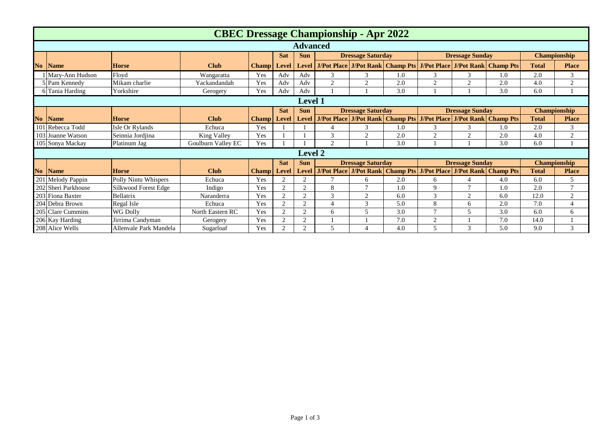|                | <b>CBEC Dressage Championship - Apr 2022</b> |                        |                    |              |                |                |                          |                                 |     |                        |                                         |                                                                   |                     |                |
|----------------|----------------------------------------------|------------------------|--------------------|--------------|----------------|----------------|--------------------------|---------------------------------|-----|------------------------|-----------------------------------------|-------------------------------------------------------------------|---------------------|----------------|
|                | <b>Advanced</b>                              |                        |                    |              |                |                |                          |                                 |     |                        |                                         |                                                                   |                     |                |
|                |                                              |                        |                    |              | <b>Sat</b>     | <b>Sun</b>     | <b>Dressage Saturday</b> |                                 |     | <b>Dressage Sunday</b> |                                         |                                                                   | Championship        |                |
| <b>No</b>      | <b>Name</b>                                  | <b>Horse</b>           | <b>Club</b>        | <b>Champ</b> | <b>Level</b>   | <b>Level</b>   |                          |                                 |     |                        |                                         | J/Pot Place J/Pot Rank Champ Pts J/Pot Place J/Pot Rank Champ Pts | <b>Total</b>        | <b>Place</b>   |
|                | Mary-Ann Hudson                              | Floyd                  | Wangaratta         | Yes          | Adv            | Adv            | 3                        | 3                               | 1.0 | 3                      | 3                                       | 1.0                                                               | 2.0                 | 3              |
|                | <b>Pam Kennedy</b>                           | Mikam charlie          | Yackandandah       | Yes          | Adv            | Adv            | $\overline{2}$           | $\bigcap$                       | 2.0 | 2                      | $\overline{2}$                          | 2.0                                                               | 4.0                 | 2              |
|                | 6 Tania Harding                              | Yorkshire              | Gerogery           | Yes          | Adv            | Adv            |                          |                                 | 3.0 |                        |                                         | 3.0                                                               | 6.0                 |                |
|                | <b>Level 1</b>                               |                        |                    |              |                |                |                          |                                 |     |                        |                                         |                                                                   |                     |                |
|                |                                              |                        |                    |              | <b>Sat</b>     | <b>Sun</b>     |                          | <b>Dressage Saturday</b>        |     | <b>Dressage Sunday</b> |                                         |                                                                   | Championship        |                |
| N <sub>o</sub> | <b>Name</b>                                  | <b>Horse</b>           | <b>Club</b>        | <b>Champ</b> | <b>Level</b>   | <b>Level</b>   |                          |                                 |     |                        |                                         | J/Pot Place J/Pot Rank Champ Pts J/Pot Place J/Pot Rank Champ Pts | <b>Total</b>        | <b>Place</b>   |
|                | 101 Rebecca Todd                             | Isle Or Rylands        | Echuca             | Yes          |                |                | 4                        | 3                               | 1.0 | 3                      | 3                                       | 1.0                                                               | 2.0                 | 3              |
|                | 103 Joanne Watson                            | Seinnia Jordjina       | King Valley        | Yes          |                |                | 3                        | $\gamma$                        | 2.0 | 2                      | 2                                       | 2.0                                                               | 4.0                 | 2              |
|                | 105 Sonya Mackay                             | Platinum Jag           | Goulburn Valley EC | Yes          |                |                | $\overline{2}$           |                                 | 3.0 |                        |                                         | 3.0                                                               | 6.0                 |                |
|                |                                              |                        |                    |              |                | Level 2        |                          |                                 |     |                        |                                         |                                                                   |                     |                |
|                |                                              |                        |                    |              | <b>Sat</b>     | <b>Sun</b>     | <b>Dressage Saturday</b> |                                 |     | <b>Dressage Sunday</b> |                                         |                                                                   | <b>Championship</b> |                |
| N <sub>o</sub> | <b>Name</b>                                  | <b>Horse</b>           | <b>Club</b>        | <b>Champ</b> | Level          | <b>Level</b>   |                          | <b>J/Pot Place   J/Pot Rank</b> |     |                        | <b>Champ Pts J/Pot Place J/Pot Rank</b> | <b>Champ Pts</b>                                                  | <b>Total</b>        | <b>Place</b>   |
|                | 201 Melody Pappin                            | Polly Nintu Whispers   | Echuca             | Yes          | $\overline{2}$ | 2              | 7                        | 6                               | 2.0 | 6                      |                                         | 4.0                                                               | 6.0                 | 5              |
|                | 202 Sheri Parkhouse                          | Silkwood Forest Edge   | Indigo             | Yes          | $\overline{2}$ | $\overline{c}$ | 8                        |                                 | 1.0 | 9                      | $\mathcal{L}$                           | 1.0                                                               | 2.0                 | $\mathcal{I}$  |
|                | 203 Fiona Baxter                             | Bellatrix              | Naranderra         | Yes          | $\overline{2}$ | $\overline{2}$ | 3                        | 2                               | 6.0 | 3                      | 2                                       | 6.0                                                               | 12.0                | 2              |
|                | 204 Debra Brown                              | Regal Isle             | Echuca             | Yes          | $\overline{2}$ | 2              | $\overline{4}$           | 3                               | 5.0 | 8                      | 6                                       | 2.0                                                               | 7.0                 | $\overline{4}$ |
|                | 205 Clare Cummins                            | <b>WG Dolly</b>        | North Eastern RC   | Yes          | $\bigcap$      | $\overline{c}$ | 6                        |                                 | 3.0 | $\mathcal{L}$          |                                         | 3.0                                                               | 6.0                 | 6              |
|                | 206 Kay Harding                              | Jirrima Candyman       | Gerogery           | Yes          | $\overline{2}$ | $\overline{2}$ |                          |                                 | 7.0 | 2                      |                                         | 7.0                                                               | 14.0                |                |
|                | 208 Alice Wells                              | Allenvale Park Mandela | Sugarloaf          | Yes          | $\overline{2}$ | $\overline{2}$ | 5                        |                                 | 4.0 | 5                      | 3                                       | 5.0                                                               | 9.0                 | 3              |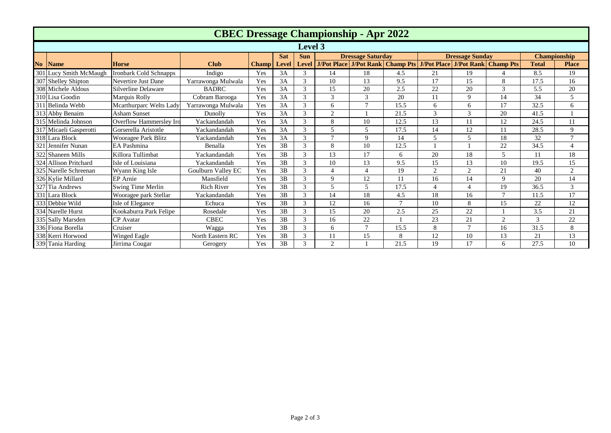|                | <b>CBEC Dressage Championship - Apr 2022</b> |                         |                    |              |              |                |                                                                                     |                |               |                        |                |          |                     |                |
|----------------|----------------------------------------------|-------------------------|--------------------|--------------|--------------|----------------|-------------------------------------------------------------------------------------|----------------|---------------|------------------------|----------------|----------|---------------------|----------------|
| <b>Level 3</b> |                                              |                         |                    |              |              |                |                                                                                     |                |               |                        |                |          |                     |                |
|                |                                              |                         |                    |              | <b>Sat</b>   | <b>Sun</b>     | <b>Dressage Saturday</b>                                                            |                |               | <b>Dressage Sunday</b> |                |          | <b>Championship</b> |                |
| No             | <b>Name</b>                                  | <b>Horse</b>            | <b>Club</b>        | <b>Champ</b> | <b>Level</b> |                | Level   J/Pot Place   J/Pot Rank   Champ Pts   J/Pot Place   J/Pot Rank   Champ Pts |                |               |                        |                |          | <b>Total</b>        | <b>Place</b>   |
|                | 301 Lucy Smith McMaugh                       | Ironbark Cold Schnapps  | Indigo             | Yes          | 3A           | 3              | 14                                                                                  | 18             | 4.5           | 21                     | 19             | $\Delta$ | 8.5                 | 19             |
|                | 307 Shelley Shipton                          | Nevertire Just Dane     | Yarrawonga Mulwala | Yes          | 3A           | 3              | 10                                                                                  | 13             | 9.5           | 17                     | 15             | 8        | 17.5                | 16             |
|                | 308 Michele Aldous                           | Silverline Delaware     | <b>BADRC</b>       | Yes          | 3A           | 3              | 15                                                                                  | 20             | 2.5           | 22                     | 20             | 3        | 5.5                 | 20             |
|                | 310 Lisa Goodin                              | Marquis Rolly           | Cobram Barooga     | Yes          | 3A           | 3              | 3                                                                                   | 3              | 20            | 11                     | 9              | 14       | 34                  | 5              |
|                | 311 Belinda Webb                             | Mcarthurparc Welts Lady | Yarrawonga Mulwala | Yes          | 3A           | 3              | 6                                                                                   | $\tau$         | 15.5          | 6                      | 6              | 17       | 32.5                | 6              |
|                | 313 Abby Benaim                              | Asham Sunset            | Dunolly            | Yes          | 3A           | 3              | 2                                                                                   |                | 21.5          | 3                      | 3              | 20       | 41.5                |                |
|                | 315 Melinda Johnson                          | Overflow Hammerslev Iro | Yackandandah       | Yes          | 3A           | 3              | 8                                                                                   | 10             | 12.5          | 13                     | 11             | 12       | 24.5                | 11             |
|                | 317 Micaeli Gasperotti                       | Gorserella Aristotle    | Yackandandah       | Yes          | 3A           | 3              | 5                                                                                   | $\overline{5}$ | 17.5          | 14                     | 12             | 11       | 28.5                | 9              |
|                | 318 Lara Block                               | Wooragee Park Blitz     | Yackandandah       | Yes          | 3A           | 3              | $\mathcal{I}$                                                                       | 9              | 14            | 5                      | $\overline{5}$ | 18       | 32                  | $\mathbf{r}$   |
|                | 321 Jennifer Nunan                           | EA Pashmina             | Benalla            | Yes          | 3B           | 3              | 8                                                                                   | 10             | 12.5          |                        |                | 22       | 34.5                | $\overline{4}$ |
|                | 322 Shaneen Mills                            | Killora Tullimbat       | Yackandandah       | Yes          | 3B           | 3              | 13                                                                                  | 17             | 6             | 20                     | 18             | 5        | 11                  | 18             |
|                | 324 Allison Pritchard                        | Isle of Louisiana       | Yackandandah       | Yes          | 3B           | 3              | 10                                                                                  | 13             | 9.5           | 15                     | 13             | 10       | 19.5                | 15             |
|                | 325 Narelle Schreenan                        | Wyann King Isle         | Goulburn Valley EC | Yes          | 3B           | 3              | $\overline{4}$                                                                      | 4              | 19            | $\overline{c}$         | $\overline{2}$ | 21       | 40                  | 2              |
|                | 326 Kylie Millard                            | <b>EP</b> Arnie         | Mansfield          | Yes          | 3B           | 3              | 9                                                                                   | 12             | 11            | 16                     | 14             | 9        | 20                  | 14             |
|                | 327 Tia Andrews                              | Swing Time Merlin       | <b>Rich River</b>  | Yes          | 3B           | $\mathfrak{Z}$ | 5                                                                                   | $\overline{5}$ | 17.5          | 4                      | $\overline{4}$ | 19       | 36.5                | 3              |
|                | 331 Lara Block                               | Wooragee park Stellar   | Yackandandah       | Yes          | 3B           | 3              | 14                                                                                  | 18             | 4.5           | 18                     | 16             | $\tau$   | 11.5                | 17             |
|                | 333 Debbie Wild                              | Isle of Elegance        | Echuca             | Yes          | 3B           | 3              | 12                                                                                  | 16             | $\mathcal{I}$ | 10                     | 8              | 15       | 22                  | 12             |
|                | 334 Narelle Hurst                            | Kookaburra Park Felipe  | Rosedale           | Yes          | 3B           | $\overline{3}$ | 15                                                                                  | 20             | 2.5           | 25                     | 22             |          | 3.5                 | 21             |
|                | 335 Sally Marsden                            | <b>CP</b> Avatar        | <b>CBEC</b>        | Yes          | 3B           | 3              | 16                                                                                  | 22             |               | 23                     | 21             | 2        | 3                   | 22             |
|                | 336 Fiona Borella                            | Cruiser                 | Wagga              | Yes          | 3B           | 3              | 6                                                                                   | $\mathbf{r}$   | 15.5          | 8                      | $\overline{7}$ | 16       | 31.5                | 8              |
|                | 338 Kerri Horwood                            | Winged Eagle            | North Eastern RC   | Yes          | 3B           | 3              | 11                                                                                  | 15             | 8             | 12                     | 10             | 13       | 21                  | 13             |
|                | 339 Tania Harding                            | Jirrima Cougar          | Gerogery           | Yes          | 3B           | 3              | 2                                                                                   |                | 21.5          | 19                     | 17             | 6        | 27.5                | 10             |